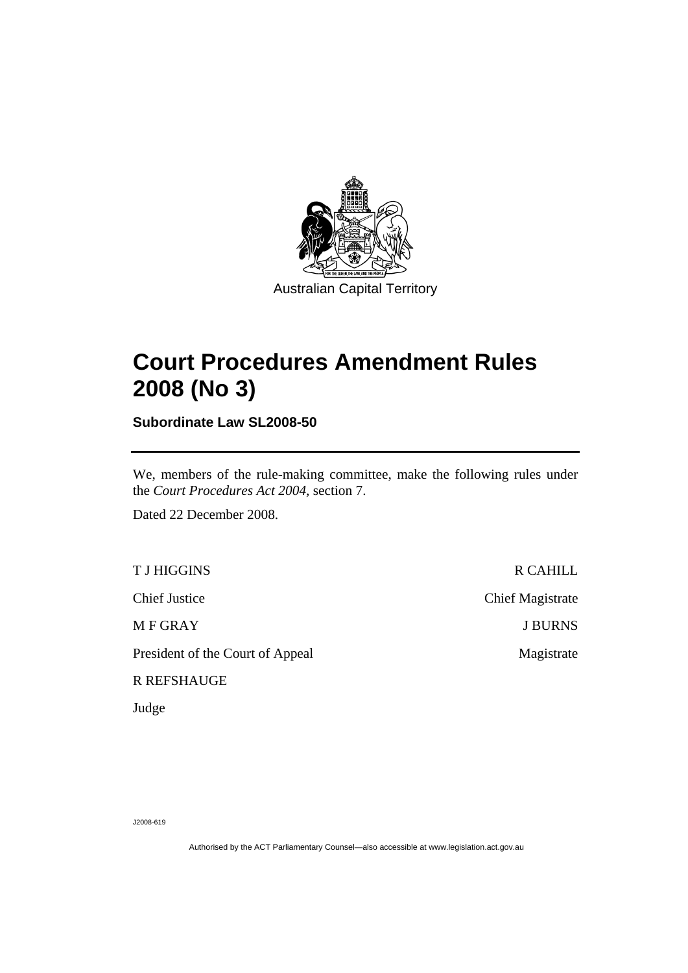

# **[Court Procedures Amendment Rules](#page-2-0)  [2008 \(No 3\)](#page-2-0)**

**Subordinate Law SL2008-50** 

We, members of the rule-making committee, make the following rules under the *Court Procedures Act 2004*, section 7.

Dated 22 December 2008.

T J HIGGINS R CAHILL

President of the Court of Appeal Magistrate

R REFSHAUGE

Judge

Chief Justice Chief Magistrate M F GRAY J BURNS

J2008-619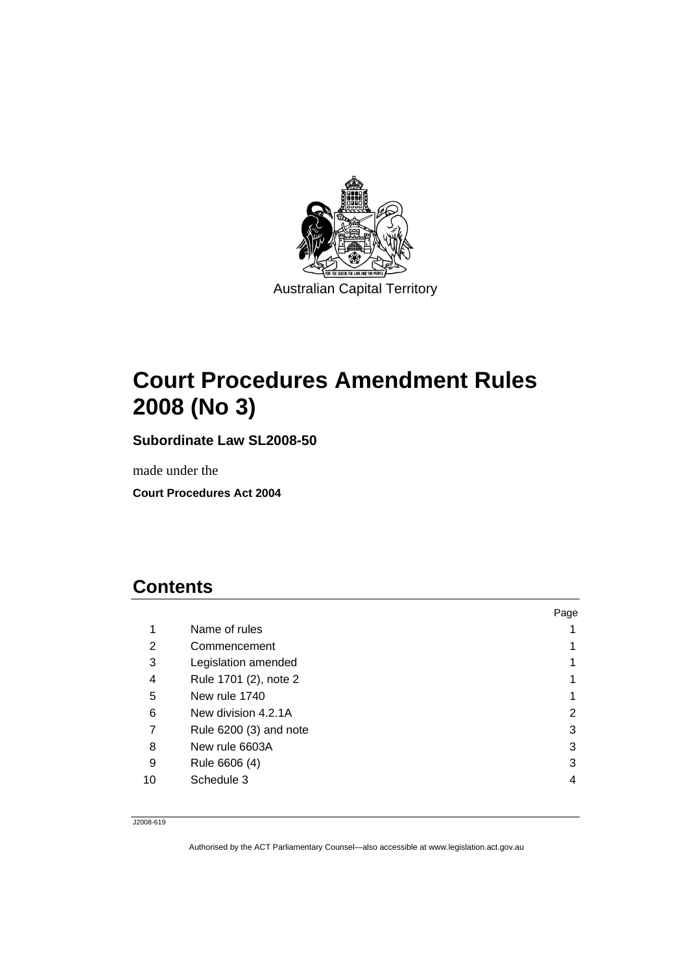<span id="page-2-0"></span>

# **Court Procedures Amendment Rules 2008 (No 3)**

**Subordinate Law SL2008-50** 

made under the

**Court Procedures Act 2004** 

## **Contents**

|    |                        | Page |
|----|------------------------|------|
| 1  | Name of rules          |      |
| 2  | Commencement           |      |
| 3  | Legislation amended    |      |
| 4  | Rule 1701 (2), note 2  |      |
| 5  | New rule 1740          |      |
| 6  | New division 4.2.1A    | 2    |
| 7  | Rule 6200 (3) and note | 3    |
| 8  | New rule 6603A         | 3    |
| 9  | Rule 6606 (4)          | 3    |
| 10 | Schedule 3             | 4    |
|    |                        |      |

J2008-619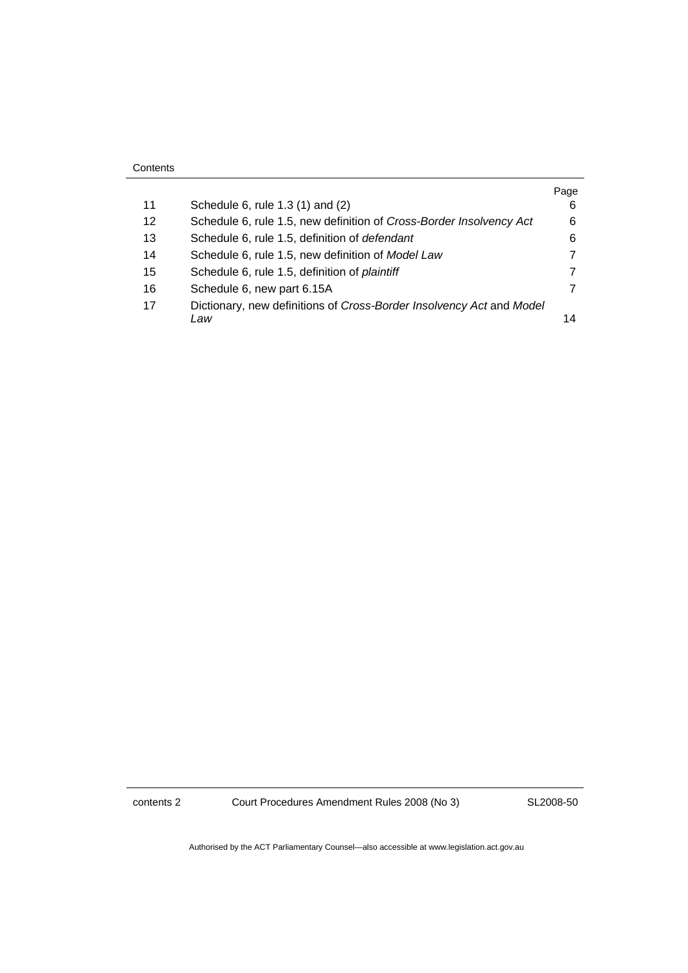|    |                                                                      | Page |
|----|----------------------------------------------------------------------|------|
| 11 | Schedule 6, rule 1.3 (1) and (2)                                     | 6    |
| 12 | Schedule 6, rule 1.5, new definition of Cross-Border Insolvency Act  | 6    |
| 13 | Schedule 6, rule 1.5, definition of defendant                        | 6    |
| 14 | Schedule 6, rule 1.5, new definition of Model Law                    |      |
| 15 | Schedule 6, rule 1.5, definition of plaintiff                        |      |
| 16 | Schedule 6, new part 6.15A                                           |      |
| 17 | Dictionary, new definitions of Cross-Border Insolvency Act and Model |      |
|    | Law                                                                  | 14   |

**Contents** 

contents 2 Court Procedures Amendment Rules 2008 (No 3)

SL2008-50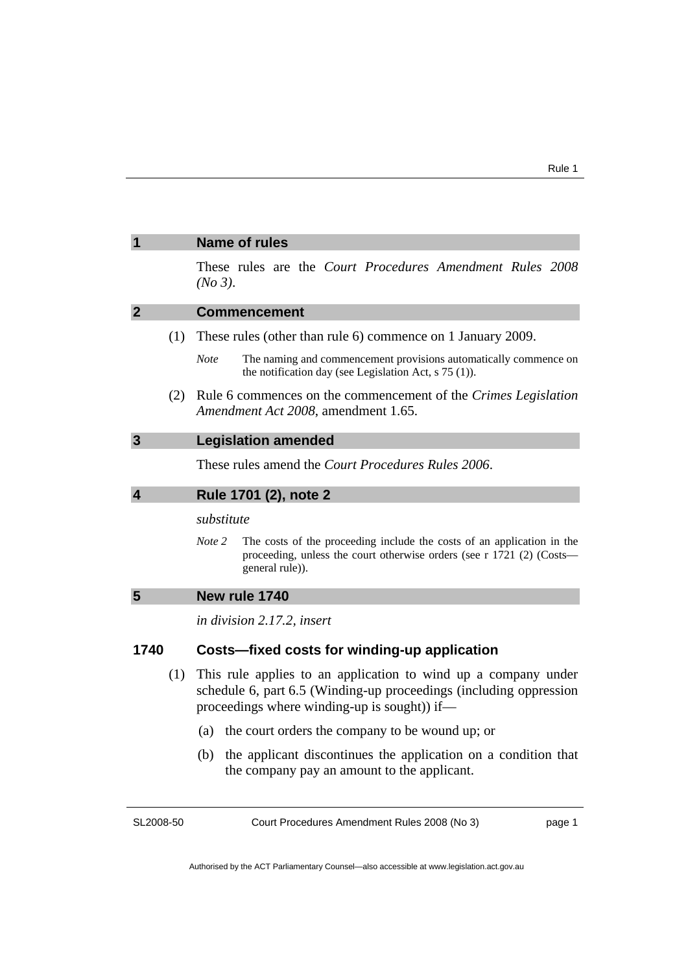|                                                  | These rules are the Court Procedures Amendment Rules 2008<br>(No 3).                                                                                                                                                                                                                                                                                                                                                                                                                                                           |
|--------------------------------------------------|--------------------------------------------------------------------------------------------------------------------------------------------------------------------------------------------------------------------------------------------------------------------------------------------------------------------------------------------------------------------------------------------------------------------------------------------------------------------------------------------------------------------------------|
| $\overline{2}$                                   | <b>Commencement</b>                                                                                                                                                                                                                                                                                                                                                                                                                                                                                                            |
| (1)                                              | These rules (other than rule 6) commence on 1 January 2009.                                                                                                                                                                                                                                                                                                                                                                                                                                                                    |
|                                                  | The naming and commencement provisions automatically commence on<br><b>Note</b><br>the notification day (see Legislation Act, $s$ 75 (1)).                                                                                                                                                                                                                                                                                                                                                                                     |
| (2)                                              | Rule 6 commences on the commencement of the Crimes Legislation<br>Amendment Act 2008, amendment 1.65.                                                                                                                                                                                                                                                                                                                                                                                                                          |
| $\overline{3}$                                   | <b>Legislation amended</b>                                                                                                                                                                                                                                                                                                                                                                                                                                                                                                     |
|                                                  | These rules amend the <i>Court Procedures Rules</i> 2006.                                                                                                                                                                                                                                                                                                                                                                                                                                                                      |
| $\overline{\mathbf{4}}$<br>Rule 1701 (2), note 2 |                                                                                                                                                                                                                                                                                                                                                                                                                                                                                                                                |
|                                                  | substitute                                                                                                                                                                                                                                                                                                                                                                                                                                                                                                                     |
|                                                  | The costs of the proceeding include the costs of an application in the<br>Note 2<br>proceeding, unless the court otherwise orders (see r 1721 (2) (Costs—<br>general rule)).                                                                                                                                                                                                                                                                                                                                                   |
| 5                                                | New rule 1740                                                                                                                                                                                                                                                                                                                                                                                                                                                                                                                  |
|                                                  | in division 2.17.2, insert                                                                                                                                                                                                                                                                                                                                                                                                                                                                                                     |
| 1740                                             | Costs-fixed costs for winding-up application                                                                                                                                                                                                                                                                                                                                                                                                                                                                                   |
| (1)                                              | This rule applies to an application to wind up a company under<br>schedule 6, part 6.5 (Winding-up proceedings (including oppression<br>$\mathbf{1}^{\prime}$ $\mathbf{1}$ $\mathbf{1}^{\prime}$ $\mathbf{1}^{\prime}$ $\mathbf{1}^{\prime}$ $\mathbf{1}^{\prime}$ $\mathbf{1}^{\prime}$ $\mathbf{1}^{\prime}$ $\mathbf{1}^{\prime}$ $\mathbf{1}^{\prime}$ $\mathbf{1}^{\prime}$ $\mathbf{1}^{\prime}$ $\mathbf{1}^{\prime}$ $\mathbf{1}^{\prime}$ $\mathbf{1}^{\prime}$ $\mathbf{1}^{\prime}$ $\mathbf{1}^{\prime}$ $\mathbf$ |

- proceedings where winding-up is sought)) if—
	- (a) the court orders the company to be wound up; or
	- (b) the applicant discontinues the application on a condition that the company pay an amount to the applicant.

SL2008-50

<span id="page-4-0"></span>**1 Name of rules** 

Court Procedures Amendment Rules 2008 (No 3)

page 1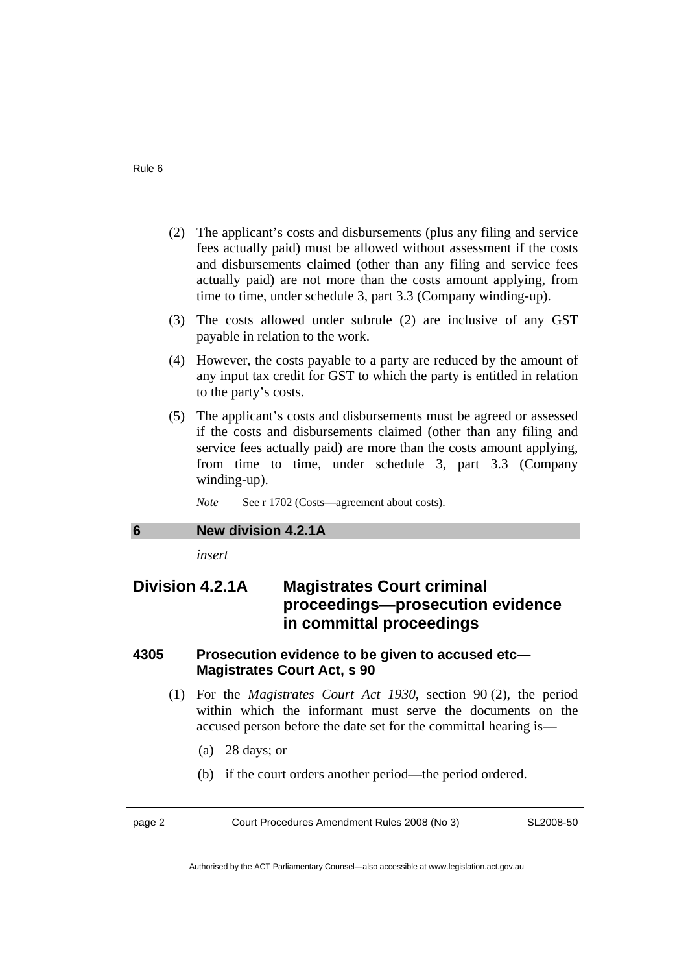- <span id="page-5-0"></span> (2) The applicant's costs and disbursements (plus any filing and service fees actually paid) must be allowed without assessment if the costs and disbursements claimed (other than any filing and service fees actually paid) are not more than the costs amount applying, from time to time, under schedule 3, part 3.3 (Company winding-up).
- (3) The costs allowed under subrule (2) are inclusive of any GST payable in relation to the work.
- (4) However, the costs payable to a party are reduced by the amount of any input tax credit for GST to which the party is entitled in relation to the party's costs.
- (5) The applicant's costs and disbursements must be agreed or assessed if the costs and disbursements claimed (other than any filing and service fees actually paid) are more than the costs amount applying, from time to time, under schedule 3, part 3.3 (Company winding-up).

*Note* See r 1702 (Costs—agreement about costs).

## **6 New division 4.2.1A**

*insert* 

## **Division 4.2.1A Magistrates Court criminal proceedings—prosecution evidence in committal proceedings**

## **4305 Prosecution evidence to be given to accused etc— Magistrates Court Act, s 90**

- (1) For the *Magistrates Court Act 1930*, section 90 (2), the period within which the informant must serve the documents on the accused person before the date set for the committal hearing is—
	- (a) 28 days; or
	- (b) if the court orders another period—the period ordered.

page 2 Court Procedures Amendment Rules 2008 (No 3)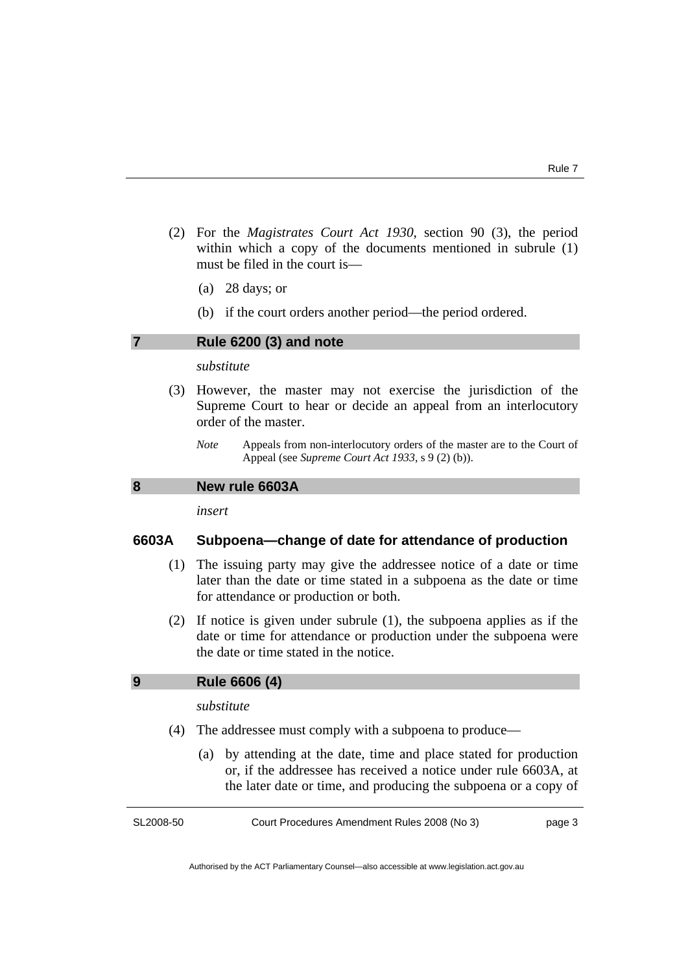- <span id="page-6-0"></span> (2) For the *Magistrates Court Act 1930*, section 90 (3), the period within which a copy of the documents mentioned in subrule (1) must be filed in the court is—
	- (a) 28 days; or
	- (b) if the court orders another period—the period ordered.

## **7 Rule 6200 (3) and note**

#### *substitute*

- (3) However, the master may not exercise the jurisdiction of the Supreme Court to hear or decide an appeal from an interlocutory order of the master.
	- *Note* Appeals from non-interlocutory orders of the master are to the Court of Appeal (see *Supreme Court Act 1933*, s 9 (2) (b)).

### **8 New rule 6603A**

*insert* 

## **6603A Subpoena—change of date for attendance of production**

- (1) The issuing party may give the addressee notice of a date or time later than the date or time stated in a subpoena as the date or time for attendance or production or both.
- (2) If notice is given under subrule (1), the subpoena applies as if the date or time for attendance or production under the subpoena were the date or time stated in the notice.

## **9 Rule 6606 (4)**

*substitute* 

- (4) The addressee must comply with a subpoena to produce—
	- (a) by attending at the date, time and place stated for production or, if the addressee has received a notice under rule 6603A, at the later date or time, and producing the subpoena or a copy of

SL2008-50

Court Procedures Amendment Rules 2008 (No 3)

page 3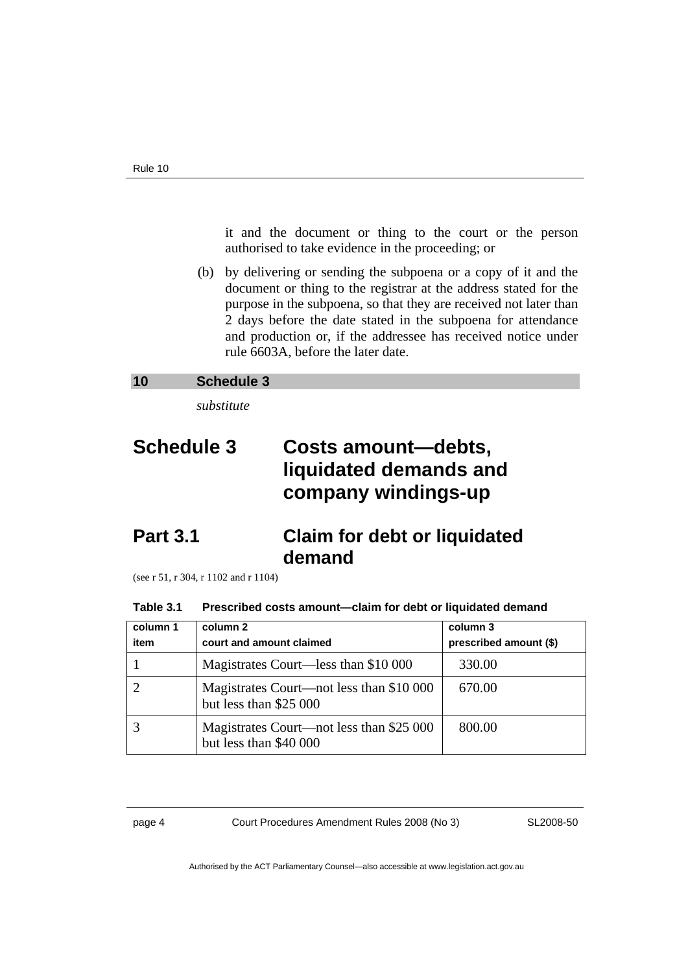<span id="page-7-0"></span>it and the document or thing to the court or the person authorised to take evidence in the proceeding; or

 (b) by delivering or sending the subpoena or a copy of it and the document or thing to the registrar at the address stated for the purpose in the subpoena, so that they are received not later than 2 days before the date stated in the subpoena for attendance and production or, if the addressee has received notice under rule 6603A, before the later date.

### **10 Schedule 3**

*substitute* 

## **Schedule 3 Costs amount—debts, liquidated demands and company windings-up**

## **Part 3.1 Claim for debt or liquidated demand**

(see r 51, r 304, r 1102 and r 1104)

#### **Table 3.1 Prescribed costs amount—claim for debt or liquidated demand**

| column 1 | column 2                                                           | column 3               |
|----------|--------------------------------------------------------------------|------------------------|
| item     | court and amount claimed                                           | prescribed amount (\$) |
|          | Magistrates Court—less than \$10 000                               | 330.00                 |
|          | Magistrates Court—not less than \$10 000<br>but less than \$25 000 | 670.00                 |
|          | Magistrates Court—not less than \$25 000<br>but less than \$40 000 | 800.00                 |

page 4 Court Procedures Amendment Rules 2008 (No 3)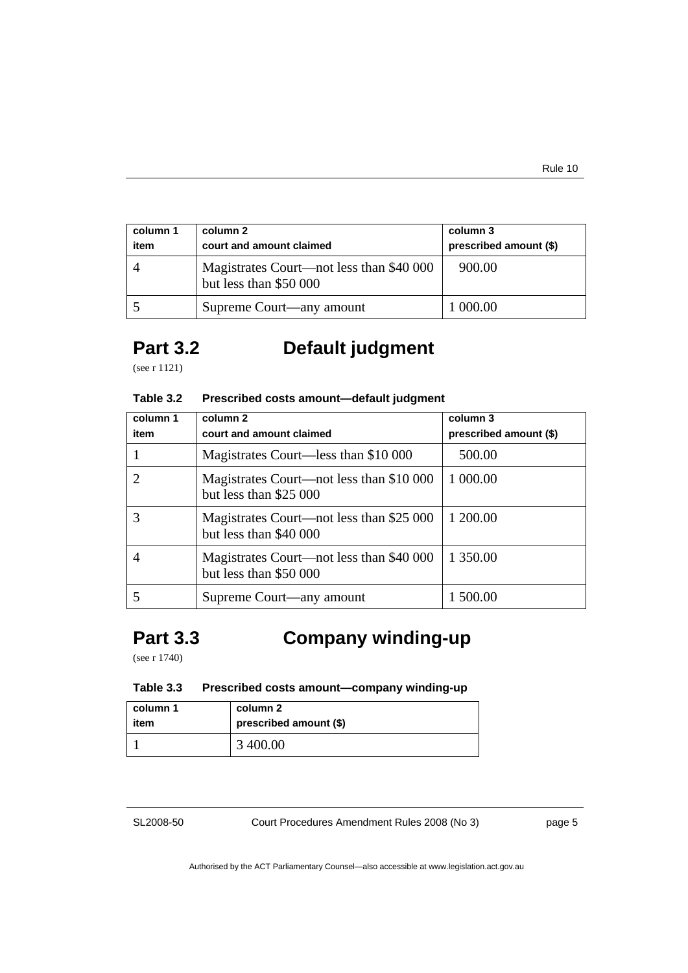| column 1<br>item | column 2<br>court and amount claimed                               | column 3<br>prescribed amount (\$) |
|------------------|--------------------------------------------------------------------|------------------------------------|
|                  | Magistrates Court—not less than \$40 000<br>but less than \$50 000 | 900.00                             |
|                  | Supreme Court—any amount                                           | 1 000.00                           |

## **Part 3.2 Default judgment**

(see r 1121)

### **Table 3.2 Prescribed costs amount—default judgment**

| column 1<br>item | column 2<br>court and amount claimed                               | column 3<br>prescribed amount (\$) |
|------------------|--------------------------------------------------------------------|------------------------------------|
|                  | Magistrates Court—less than \$10 000                               | 500.00                             |
|                  | Magistrates Court—not less than \$10 000<br>but less than \$25 000 | 1 000.00                           |
|                  | Magistrates Court—not less than \$25 000<br>but less than \$40 000 | 1 200.00                           |
|                  | Magistrates Court—not less than \$40 000<br>but less than \$50 000 | 1 350.00                           |
|                  | Supreme Court—any amount                                           | 1 500.00                           |

## **Part 3.3 Company winding-up**

(see r 1740)

## **Table 3.3 Prescribed costs amount—company winding-up**

| column 1 | column 2               |
|----------|------------------------|
| item     | prescribed amount (\$) |
|          | 3 400.00               |

SL2008-50

Court Procedures Amendment Rules 2008 (No 3)

page 5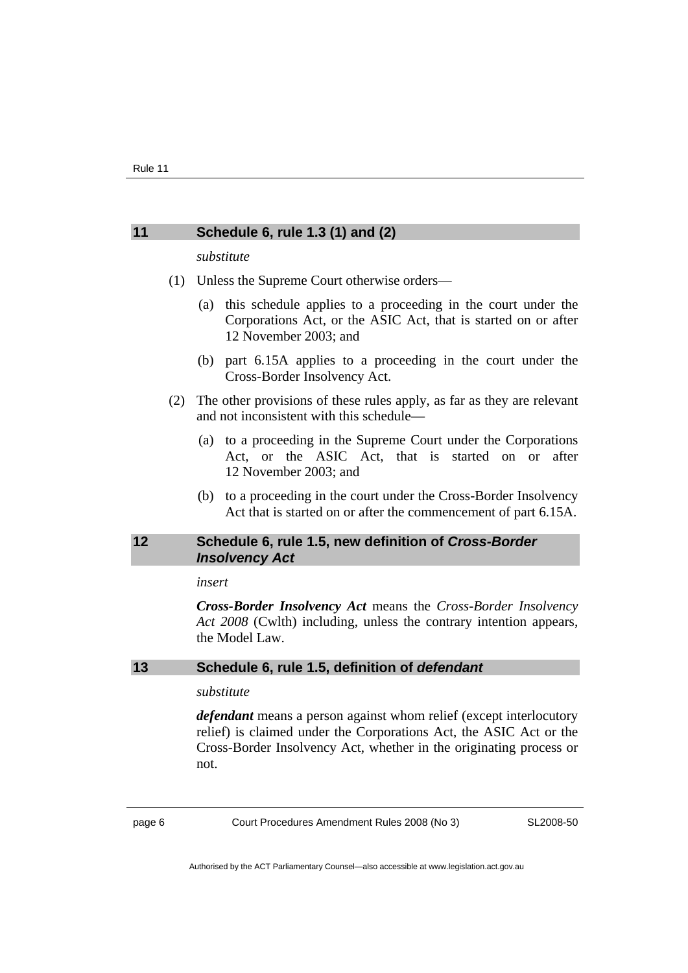### <span id="page-9-0"></span>**11 Schedule 6, rule 1.3 (1) and (2)**

#### *substitute*

- (1) Unless the Supreme Court otherwise orders—
	- (a) this schedule applies to a proceeding in the court under the Corporations Act, or the ASIC Act, that is started on or after 12 November 2003; and
	- (b) part 6.15A applies to a proceeding in the court under the Cross-Border Insolvency Act.
- (2) The other provisions of these rules apply, as far as they are relevant and not inconsistent with this schedule—
	- (a) to a proceeding in the Supreme Court under the Corporations Act, or the ASIC Act, that is started on or after 12 November 2003; and
	- (b) to a proceeding in the court under the Cross-Border Insolvency Act that is started on or after the commencement of part 6.15A.

## **12 Schedule 6, rule 1.5, new definition of** *Cross-Border Insolvency Act*

#### *insert*

*Cross-Border Insolvency Act* means the *Cross-Border Insolvency Act 2008* (Cwlth) including, unless the contrary intention appears, the Model Law.

## **13 Schedule 6, rule 1.5, definition of** *defendant*

#### *substitute*

*defendant* means a person against whom relief (except interlocutory relief) is claimed under the Corporations Act, the ASIC Act or the Cross-Border Insolvency Act, whether in the originating process or not.

page 6 Court Procedures Amendment Rules 2008 (No 3)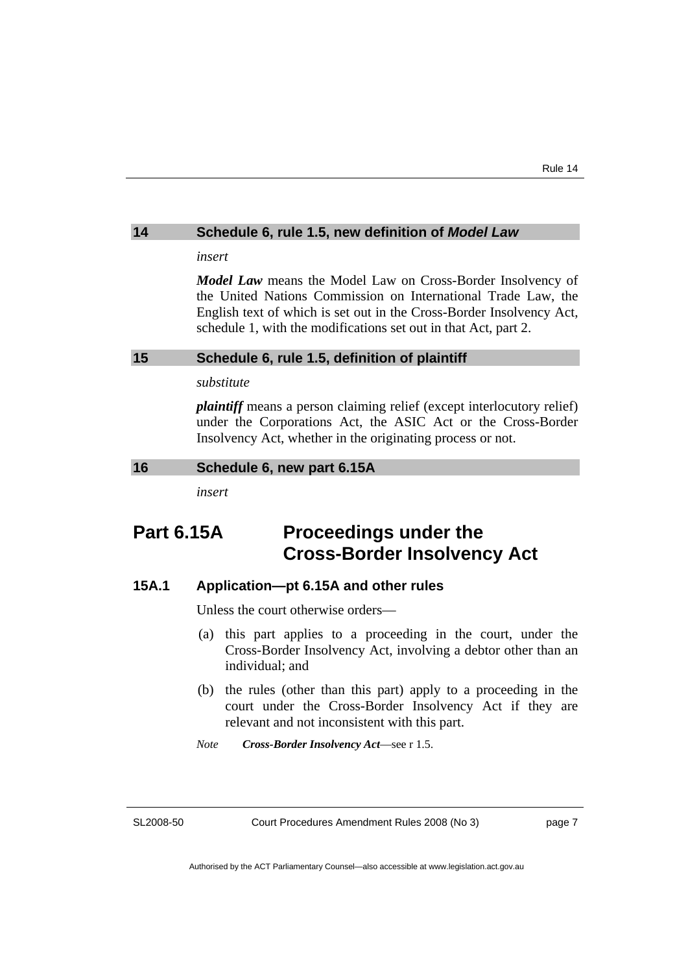#### <span id="page-10-0"></span>**14 Schedule 6, rule 1.5, new definition of** *Model Law*

*insert* 

*Model Law* means the Model Law on Cross-Border Insolvency of the United Nations Commission on International Trade Law, the English text of which is set out in the Cross-Border Insolvency Act, schedule 1, with the modifications set out in that Act, part 2.

#### **15 Schedule 6, rule 1.5, definition of plaintiff**

#### *substitute*

*plaintiff* means a person claiming relief (except interlocutory relief) under the Corporations Act, the ASIC Act or the Cross-Border Insolvency Act, whether in the originating process or not.

#### **16 Schedule 6, new part 6.15A**

*insert* 

## **Part 6.15A Proceedings under the Cross-Border Insolvency Act**

#### **15A.1 Application—pt 6.15A and other rules**

Unless the court otherwise orders—

- (a) this part applies to a proceeding in the court, under the Cross-Border Insolvency Act, involving a debtor other than an individual; and
- (b) the rules (other than this part) apply to a proceeding in the court under the Cross-Border Insolvency Act if they are relevant and not inconsistent with this part.
- *Note Cross-Border Insolvency Act*—see r 1.5.

SL2008-50

Court Procedures Amendment Rules 2008 (No 3)

page 7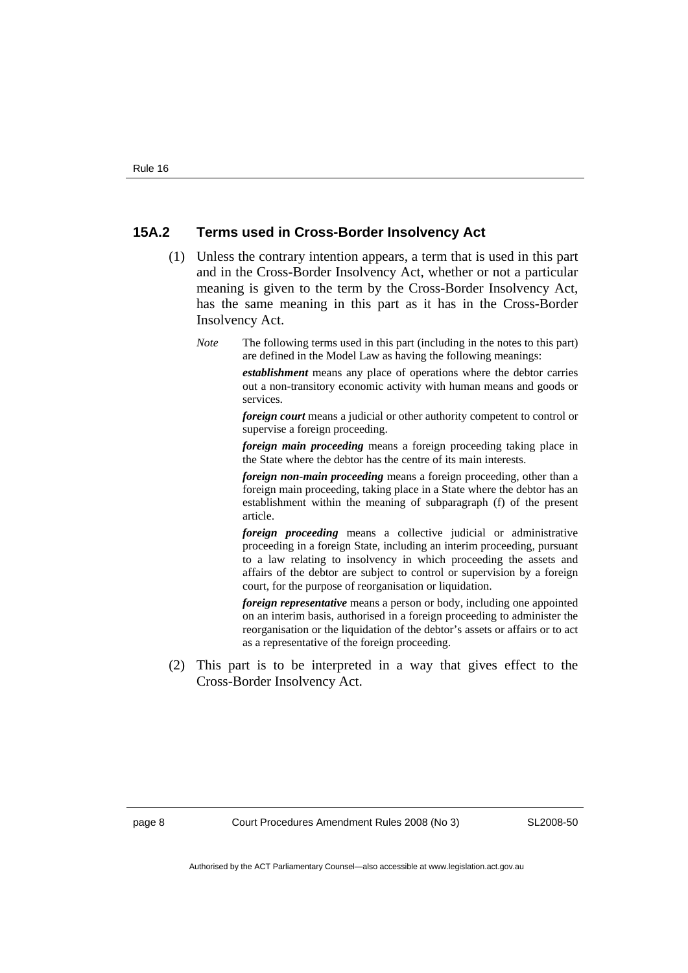## **15A.2 Terms used in Cross-Border Insolvency Act**

- (1) Unless the contrary intention appears, a term that is used in this part and in the Cross-Border Insolvency Act, whether or not a particular meaning is given to the term by the Cross-Border Insolvency Act, has the same meaning in this part as it has in the Cross-Border Insolvency Act.
	- *Note* The following terms used in this part (including in the notes to this part) are defined in the Model Law as having the following meanings:

*establishment* means any place of operations where the debtor carries out a non-transitory economic activity with human means and goods or services.

*foreign court* means a judicial or other authority competent to control or supervise a foreign proceeding.

*foreign main proceeding* means a foreign proceeding taking place in the State where the debtor has the centre of its main interests.

*foreign non-main proceeding* means a foreign proceeding, other than a foreign main proceeding, taking place in a State where the debtor has an establishment within the meaning of subparagraph (f) of the present article.

*foreign proceeding* means a collective judicial or administrative proceeding in a foreign State, including an interim proceeding, pursuant to a law relating to insolvency in which proceeding the assets and affairs of the debtor are subject to control or supervision by a foreign court, for the purpose of reorganisation or liquidation.

*foreign representative* means a person or body, including one appointed on an interim basis, authorised in a foreign proceeding to administer the reorganisation or the liquidation of the debtor's assets or affairs or to act as a representative of the foreign proceeding.

 (2) This part is to be interpreted in a way that gives effect to the Cross-Border Insolvency Act.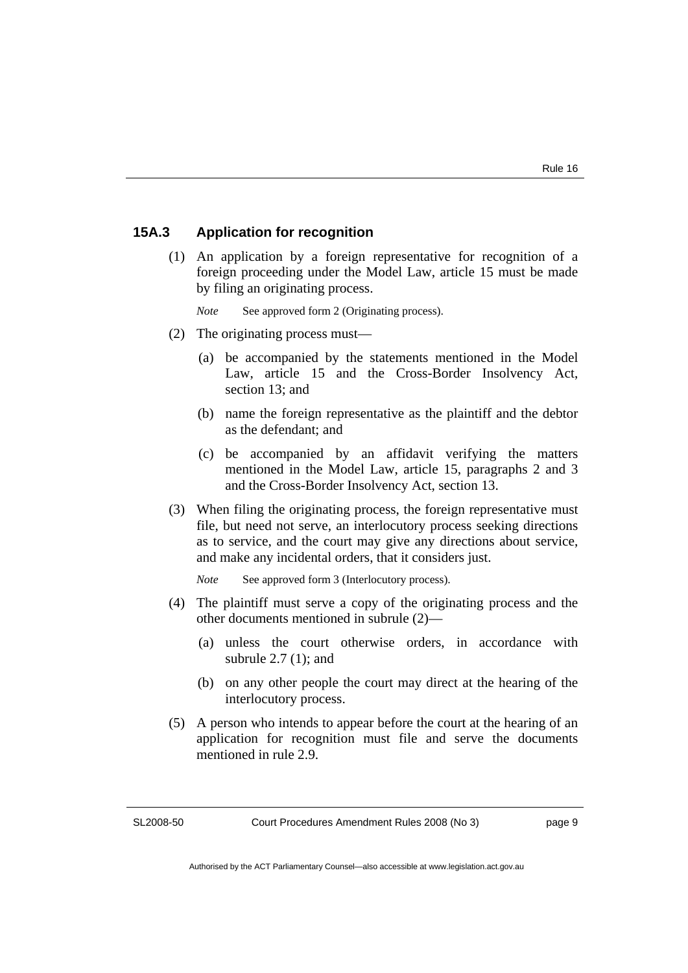## **15A.3 Application for recognition**

 (1) An application by a foreign representative for recognition of a foreign proceeding under the Model Law, article 15 must be made by filing an originating process.

*Note* See approved form 2 (Originating process).

- (2) The originating process must—
	- (a) be accompanied by the statements mentioned in the Model Law, article 15 and the Cross-Border Insolvency Act, section 13; and
	- (b) name the foreign representative as the plaintiff and the debtor as the defendant; and
	- (c) be accompanied by an affidavit verifying the matters mentioned in the Model Law, article 15, paragraphs 2 and 3 and the Cross-Border Insolvency Act, section 13.
- (3) When filing the originating process, the foreign representative must file, but need not serve, an interlocutory process seeking directions as to service, and the court may give any directions about service, and make any incidental orders, that it considers just.

*Note* See approved form 3 (Interlocutory process).

- (4) The plaintiff must serve a copy of the originating process and the other documents mentioned in subrule (2)—
	- (a) unless the court otherwise orders, in accordance with subrule 2.7 (1); and
	- (b) on any other people the court may direct at the hearing of the interlocutory process.
- (5) A person who intends to appear before the court at the hearing of an application for recognition must file and serve the documents mentioned in rule 2.9.

SL2008-50

page 9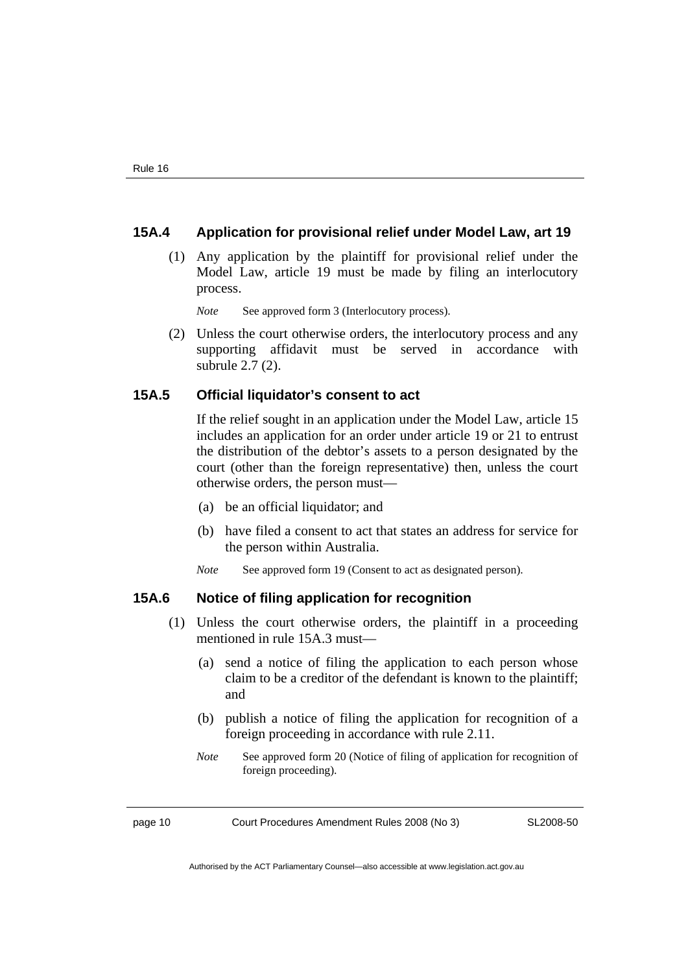## **15A.4 Application for provisional relief under Model Law, art 19**

 (1) Any application by the plaintiff for provisional relief under the Model Law, article 19 must be made by filing an interlocutory process.

*Note* See approved form 3 (Interlocutory process).

 (2) Unless the court otherwise orders, the interlocutory process and any supporting affidavit must be served in accordance with subrule 2.7 (2).

#### **15A.5 Official liquidator's consent to act**

If the relief sought in an application under the Model Law, article 15 includes an application for an order under article 19 or 21 to entrust the distribution of the debtor's assets to a person designated by the court (other than the foreign representative) then, unless the court otherwise orders, the person must—

- (a) be an official liquidator; and
- (b) have filed a consent to act that states an address for service for the person within Australia.
- *Note* See approved form 19 (Consent to act as designated person).

#### **15A.6 Notice of filing application for recognition**

- (1) Unless the court otherwise orders, the plaintiff in a proceeding mentioned in rule 15A.3 must—
	- (a) send a notice of filing the application to each person whose claim to be a creditor of the defendant is known to the plaintiff; and
	- (b) publish a notice of filing the application for recognition of a foreign proceeding in accordance with rule 2.11.
	- *Note* See approved form 20 (Notice of filing of application for recognition of foreign proceeding).

page 10 Court Procedures Amendment Rules 2008 (No 3)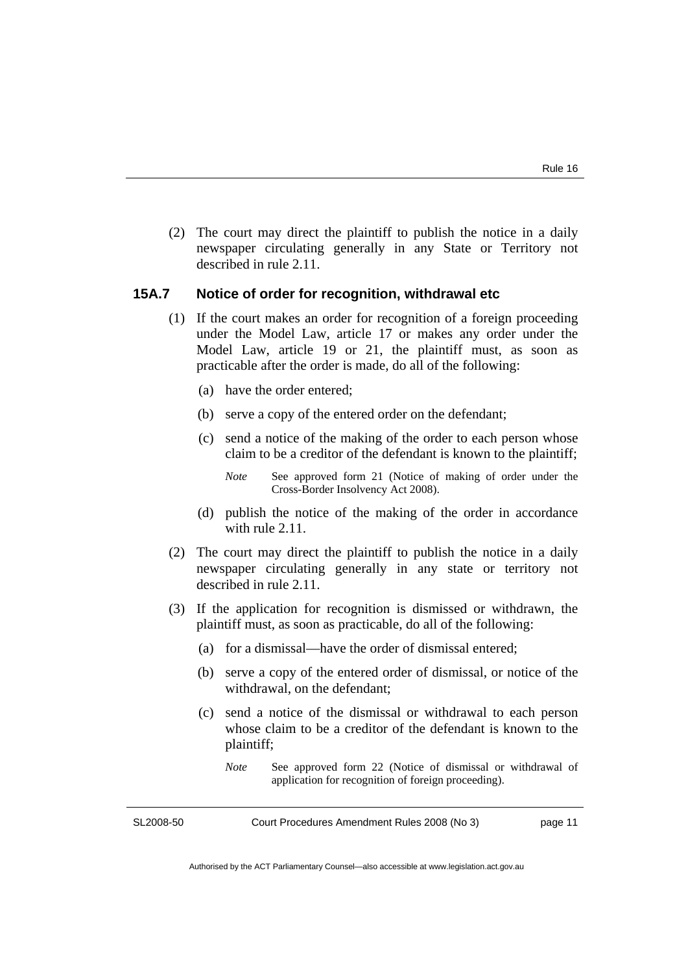(2) The court may direct the plaintiff to publish the notice in a daily newspaper circulating generally in any State or Territory not described in rule 2.11.

## **15A.7 Notice of order for recognition, withdrawal etc**

- (1) If the court makes an order for recognition of a foreign proceeding under the Model Law, article 17 or makes any order under the Model Law, article 19 or 21, the plaintiff must, as soon as practicable after the order is made, do all of the following:
	- (a) have the order entered;
	- (b) serve a copy of the entered order on the defendant;
	- (c) send a notice of the making of the order to each person whose claim to be a creditor of the defendant is known to the plaintiff;
		- *Note* See approved form 21 (Notice of making of order under the Cross-Border Insolvency Act 2008).
	- (d) publish the notice of the making of the order in accordance with rule 2.11.
- (2) The court may direct the plaintiff to publish the notice in a daily newspaper circulating generally in any state or territory not described in rule 2.11.
- (3) If the application for recognition is dismissed or withdrawn, the plaintiff must, as soon as practicable, do all of the following:
	- (a) for a dismissal—have the order of dismissal entered;
	- (b) serve a copy of the entered order of dismissal, or notice of the withdrawal, on the defendant;
	- (c) send a notice of the dismissal or withdrawal to each person whose claim to be a creditor of the defendant is known to the plaintiff;
		- *Note* See approved form 22 (Notice of dismissal or withdrawal of application for recognition of foreign proceeding).

SL2008-50

Court Procedures Amendment Rules 2008 (No 3)

page 11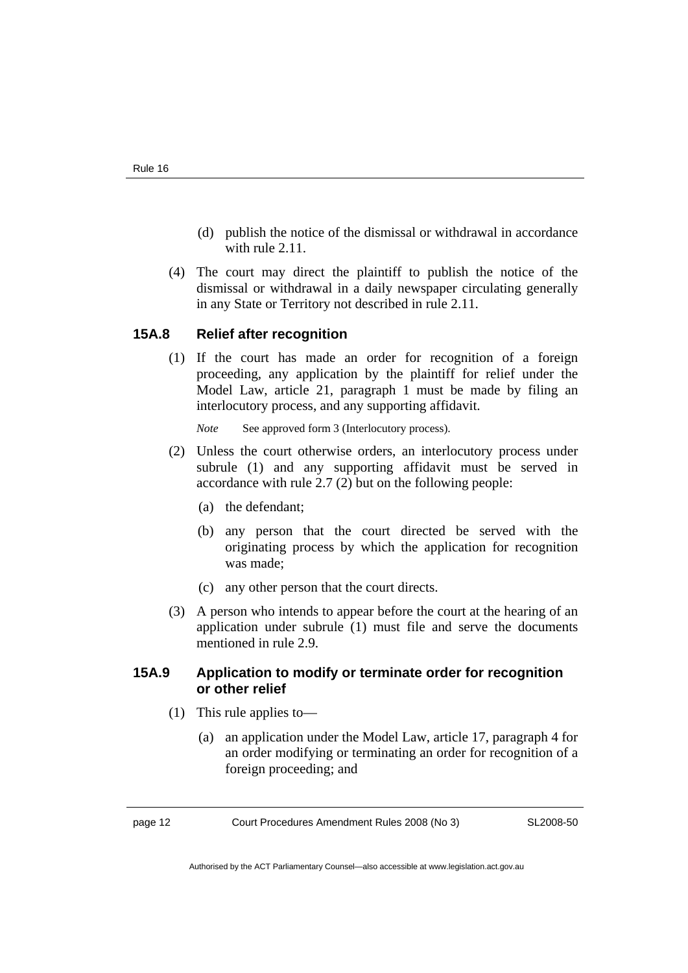- (d) publish the notice of the dismissal or withdrawal in accordance with rule 2.11.
- (4) The court may direct the plaintiff to publish the notice of the dismissal or withdrawal in a daily newspaper circulating generally in any State or Territory not described in rule 2.11.

## **15A.8 Relief after recognition**

 (1) If the court has made an order for recognition of a foreign proceeding, any application by the plaintiff for relief under the Model Law, article 21, paragraph 1 must be made by filing an interlocutory process, and any supporting affidavit.

*Note* See approved form 3 (Interlocutory process).

- (2) Unless the court otherwise orders, an interlocutory process under subrule (1) and any supporting affidavit must be served in accordance with rule 2.7 (2) but on the following people:
	- (a) the defendant;
	- (b) any person that the court directed be served with the originating process by which the application for recognition was made;
	- (c) any other person that the court directs.
- (3) A person who intends to appear before the court at the hearing of an application under subrule (1) must file and serve the documents mentioned in rule 2.9

## **15A.9 Application to modify or terminate order for recognition or other relief**

- (1) This rule applies to—
	- (a) an application under the Model Law, article 17, paragraph 4 for an order modifying or terminating an order for recognition of a foreign proceeding; and

page 12 Court Procedures Amendment Rules 2008 (No 3)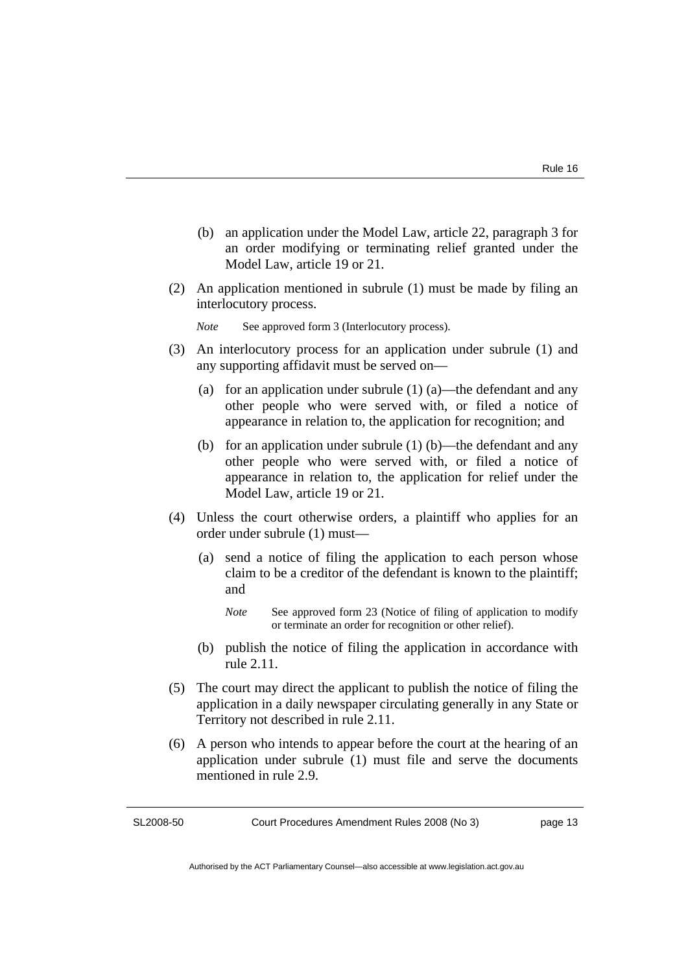- (b) an application under the Model Law, article 22, paragraph 3 for an order modifying or terminating relief granted under the Model Law, article 19 or 21.
- (2) An application mentioned in subrule (1) must be made by filing an interlocutory process.

*Note* See approved form 3 (Interlocutory process).

- (3) An interlocutory process for an application under subrule (1) and any supporting affidavit must be served on—
	- (a) for an application under subrule (1) (a)—the defendant and any other people who were served with, or filed a notice of appearance in relation to, the application for recognition; and
	- (b) for an application under subrule (1) (b)—the defendant and any other people who were served with, or filed a notice of appearance in relation to, the application for relief under the Model Law, article 19 or 21.
- (4) Unless the court otherwise orders, a plaintiff who applies for an order under subrule (1) must—
	- (a) send a notice of filing the application to each person whose claim to be a creditor of the defendant is known to the plaintiff; and
		- *Note* See approved form 23 (Notice of filing of application to modify or terminate an order for recognition or other relief).
	- (b) publish the notice of filing the application in accordance with rule 2.11.
- (5) The court may direct the applicant to publish the notice of filing the application in a daily newspaper circulating generally in any State or Territory not described in rule 2.11.
- (6) A person who intends to appear before the court at the hearing of an application under subrule (1) must file and serve the documents mentioned in rule 2.9.

SL2008-50

Court Procedures Amendment Rules 2008 (No 3)

page 13